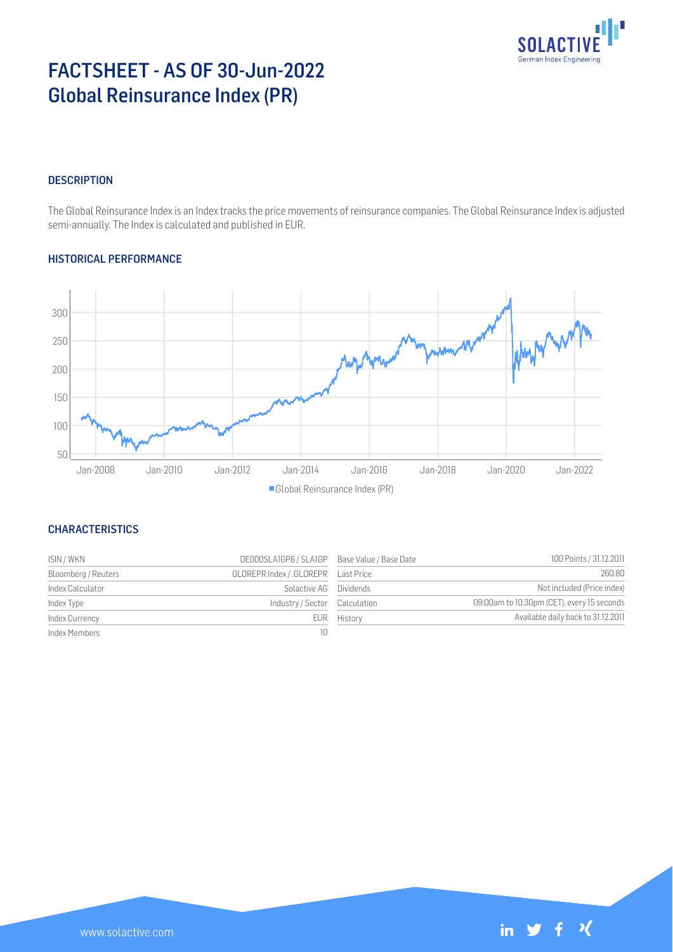

 $\mathcal{N}$ 

in  $\mathbf y$ 

# FACTSHEET - AS OF 30-Jun-2022 Global Reinsurance Index (PR)

## **DESCRIPTION**

The Global Reinsurance Index is an Index tracks the price movements of reinsurance companies. The Global Reinsurance Index is adjusted semi-annually. The Index is calculated and published in EUR.

# HISTORICAL PERFORMANCE



# **CHARACTERISTICS**

| ISIN / WKN          | DE000SLA1GP6 / SLA1GP Base Value / Base Date |             | 100 Points / 31.12.2011                    |
|---------------------|----------------------------------------------|-------------|--------------------------------------------|
| Bloomberg / Reuters |                                              |             | 260.80                                     |
| Index Calculator    | Solactive AG Dividends                       |             | Not included (Price index)                 |
| Index Type          | Industry / Sector Calculation                |             | 09:00am to 10:30pm (CET), every 15 seconds |
| Index Currency      |                                              | EUR History | Available daily back to 31.12.2011         |
| Index Members       | 10                                           |             |                                            |

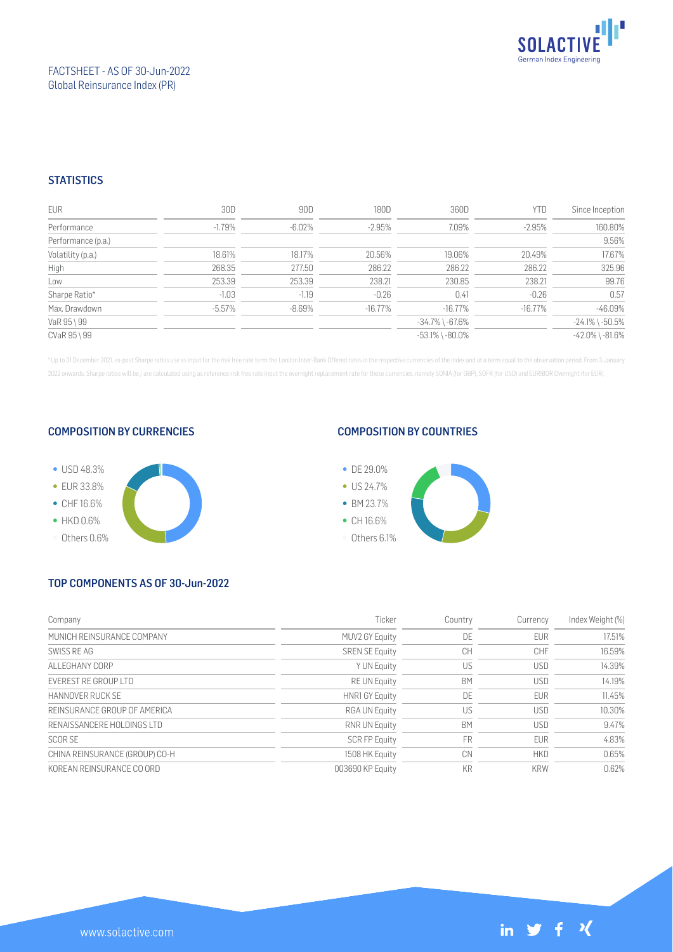

# FACTSHEET - AS OF 30-Jun-2022 Global Reinsurance Index (PR)

# **STATISTICS**

| <b>EUR</b>         | 30D       | 90D       | 180D      | 360D                  | YTD        | Since Inception       |
|--------------------|-----------|-----------|-----------|-----------------------|------------|-----------------------|
| Performance        | $-1.79%$  | $-6.02\%$ | $-2.95%$  | 7.09%                 | $-2.95%$   | 160.80%               |
| Performance (p.a.) |           |           |           |                       |            | 9.56%                 |
| Volatility (p.a.)  | 18.61%    | 18.17%    | 20.56%    | 19.06%                | 20.49%     | 17.67%                |
| High               | 268.35    | 277.50    | 286.22    | 286.22                | 286.22     | 325.96                |
| Low                | 253.39    | 253.39    | 238.21    | 230.85                | 238.21     | 99.76                 |
| Sharpe Ratio*      | $-1.03$   | $-1.19$   | $-0.26$   | 0.41                  | $-0.26$    | 0.57                  |
| Max. Drawdown      | $-5.57\%$ | $-8.69\%$ | $-16.77%$ | -16.77%               | $-16.77\%$ | $-46.09%$             |
| VaR 95 \ 99        |           |           |           | $-34.7\%$ \ $-67.6\%$ |            | $-24.1\%$ \ $-50.5\%$ |
| CVaR 95 \ 99       |           |           |           | $-53.1\%$ \ $-80.0\%$ |            | $-42.0\%$ \ $-81.6\%$ |

\* Up to 31 December 2021, ex-post Sharpe ratios use as input for the risk free rate term the London Inter-Bank Offered rates in the respective currencies of the index and at a term equal to the observation period. From 3 J 2022 onwards, Sharpe ratios will be / are calculated using as reference risk free rate input the overnight replacement rate for these currencies, namely SONIA (for GBP), SOFR (for USD) and EURIBOR Overnight (for EUR).

#### COMPOSITION BY CURRENCIES



### COMPOSITION BY COUNTRIES



# TOP COMPONENTS AS OF 30-Jun-2022

| Company                        | Ticker                | Country   | Currency   | Index Weight (%) |
|--------------------------------|-----------------------|-----------|------------|------------------|
| MUNICH REINSURANCE COMPANY     | MUV2 GY Equity        | DE        | <b>EUR</b> | 17.51%           |
| SWISS RE AG                    | <b>SREN SE Equity</b> | CH        | <b>CHF</b> | 16.59%           |
| ALL FGHANY CORP                | Y UN Equity           | US        | <b>USD</b> | 14.39%           |
| <b>FVEREST RE GROUP LTD</b>    | <b>RE UN Equity</b>   | BM        | <b>USD</b> | 14.19%           |
| HANNOVER RUCK SF               | <b>HNR1 GY Equity</b> | DE        | <b>EUR</b> | 11.45%           |
| REINSURANCE GROUP OF AMERICA   | <b>RGA UN Equity</b>  | US        | <b>USD</b> | 10.30%           |
| RENAISSANCERE HOLDINGS LTD     | RNR UN Equity         | <b>BM</b> | <b>USD</b> | 9.47%            |
| <b>SCORSE</b>                  | <b>SCR FP Equity</b>  | FR        | <b>EUR</b> | 4.83%            |
| CHINA REINSURANCE (GROUP) CO-H | 1508 HK Equity        | CN        | <b>HKD</b> | 0.65%            |
| KOREAN REINSURANCE CO ORD      | 003690 KP Equity      | <b>KR</b> | <b>KRW</b> | 0.62%            |